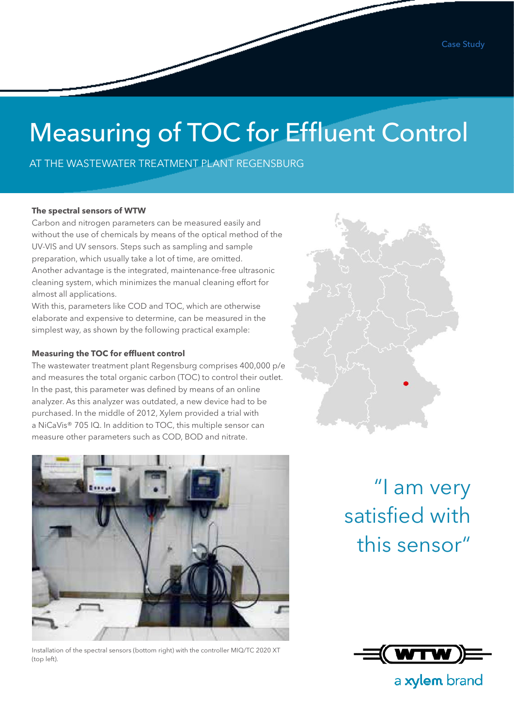# Measuring of TOC for Effluent Control

AT THE WASTEWATER TREATMENT PLANT REGENSBURG

#### **The spectral sensors of WTW**

Carbon and nitrogen parameters can be measured easily and without the use of chemicals by means of the optical method of the UV-VIS and UV sensors. Steps such as sampling and sample preparation, which usually take a lot of time, are omitted. Another advantage is the integrated, maintenance-free ultrasonic cleaning system, which minimizes the manual cleaning effort for almost all applications.

With this, parameters like COD and TOC, which are otherwise elaborate and expensive to determine, can be measured in the simplest way, as shown by the following practical example:

#### **Measuring the TOC for effluent control**

The wastewater treatment plant Regensburg comprises 400,000 p/e and measures the total organic carbon (TOC) to control their outlet. In the past, this parameter was defined by means of an online analyzer. As this analyzer was outdated, a new device had to be purchased. In the middle of 2012, Xylem provided a trial with a NiCaVis® 705 IQ. In addition to TOC, this multiple sensor can measure other parameters such as COD, BOD and nitrate.



Installation of the spectral sensors (bottom right) with the controller MIQ/TC 2020 XT (top left).

"I am very satisfied with this sensor"



a xylem brand